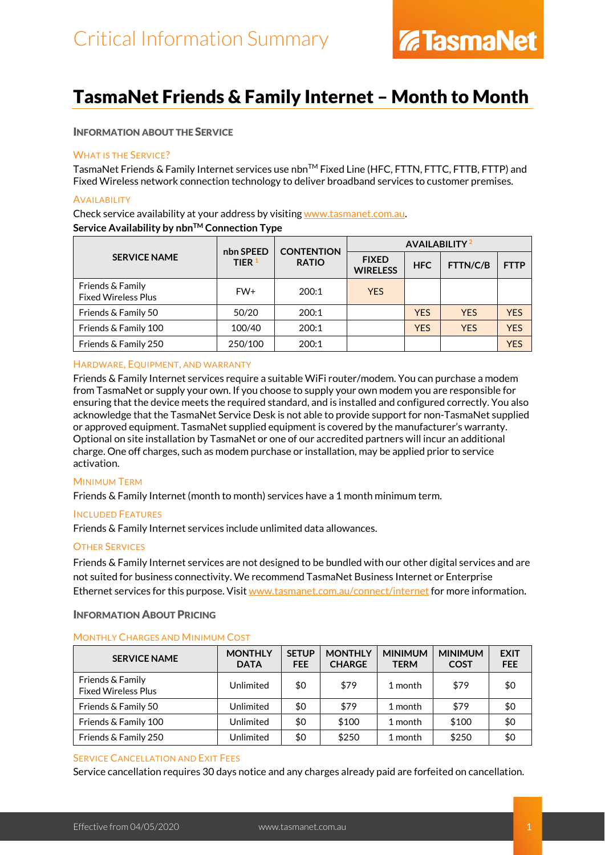### TasmaNet Friends & Family Internet – Month to Month

### INFORMATION ABOUT THE SERVICE

### WHAT IS THE SERVICE?

TasmaNet Friends & Family Internet services use nbn™ Fixed Line (HFC, FTTN, FTTC, FTTB, FTTP) and Fixed Wireless network connection technology to deliver broadband services to customer premises.

### **AVAILABILITY**

Check service availability at your address by visiting [www.tasmanet.com.au.](https://www.tasmanet.com.au/) Service Availability by nbn<sup>™</sup> Connection Type

| <b>SERVICE NAME</b>                            | nbn SPEED<br>TIER <sup>1</sup> | <b>CONTENTION</b> | <b>AVAILABILITY</b> <sup>2</sup> |            |            |             |
|------------------------------------------------|--------------------------------|-------------------|----------------------------------|------------|------------|-------------|
|                                                |                                | <b>RATIO</b>      | <b>FIXED</b><br><b>WIRELESS</b>  | <b>HFC</b> | FTTN/C/B   | <b>FTTP</b> |
| Friends & Family<br><b>Fixed Wireless Plus</b> | FW+                            | 200:1             | <b>YES</b>                       |            |            |             |
| Friends & Family 50                            | 50/20                          | 200:1             |                                  | <b>YES</b> | <b>YES</b> | <b>YES</b>  |
| Friends & Family 100                           | 100/40                         | 200:1             |                                  | <b>YFS</b> | <b>YES</b> | <b>YES</b>  |
| Friends & Family 250                           | 250/100                        | 200:1             |                                  |            |            | <b>YES</b>  |

### HARDWARE, EQUIPMENT, AND WARRANTY

Friends & Family Internet services require a suitable WiFi router/modem. You can purchase a modem from TasmaNet or supply your own. If you choose to supply your own modem you are responsible for ensuring that the device meets the required standard, and is installed and configured correctly. You also acknowledge that the TasmaNet Service Desk is not able to provide support for non-TasmaNet supplied or approved equipment. TasmaNet supplied equipment is covered by the manufacturer's warranty. Optional on site installation by TasmaNet or one of our accredited partners will incur an additional charge. One off charges, such as modem purchase or installation, may be applied prior to service activation.

### MINIMUM TERM

Friends & Family Internet (month to month) services have a 1 month minimum term.

### INCLUDED FEATURES

Friends & Family Internet services include unlimited data allowances.

### OTHER SERVICES

Friends & Family Internet services are not designed to be bundled with our other digital services and are not suited for business connectivity. We recommend TasmaNet Business Internet or Enterprise Ethernet services for this purpose. Visit [www.tasmanet.com.au/connect/internet](https://www.tasmanet.com.au/connect/internet) for more information.

### INFORMATION ABOUT PRICING

### MONTHLY CHARGES AND MINIMUM COST

| <b>SERVICE NAME</b>                            | <b>MONTHLY</b><br><b>DATA</b> | <b>SETUP</b><br><b>FEE</b> | <b>MONTHLY</b><br><b>CHARGE</b> | <b>MINIMUM</b><br><b>TERM</b> | <b>MINIMUM</b><br><b>COST</b> | <b>EXIT</b><br><b>FEE</b> |
|------------------------------------------------|-------------------------------|----------------------------|---------------------------------|-------------------------------|-------------------------------|---------------------------|
| Friends & Family<br><b>Fixed Wireless Plus</b> | Unlimited                     | \$0                        | \$79                            | 1 month                       | \$79                          | \$0                       |
| Friends & Family 50                            | Unlimited                     | \$0                        | \$79                            | 1 month                       | \$79                          | \$0                       |
| Friends & Family 100                           | Unlimited                     | \$0                        | \$100                           | 1 month                       | \$100                         | \$0                       |
| Friends & Family 250                           | Unlimited                     | \$0                        | \$250                           | 1 month                       | \$250                         | \$0                       |

### SERVICE CANCELLATION AND EXIT FEES

Service cancellation requires 30 days notice and any charges already paid are forfeited on cancellation.